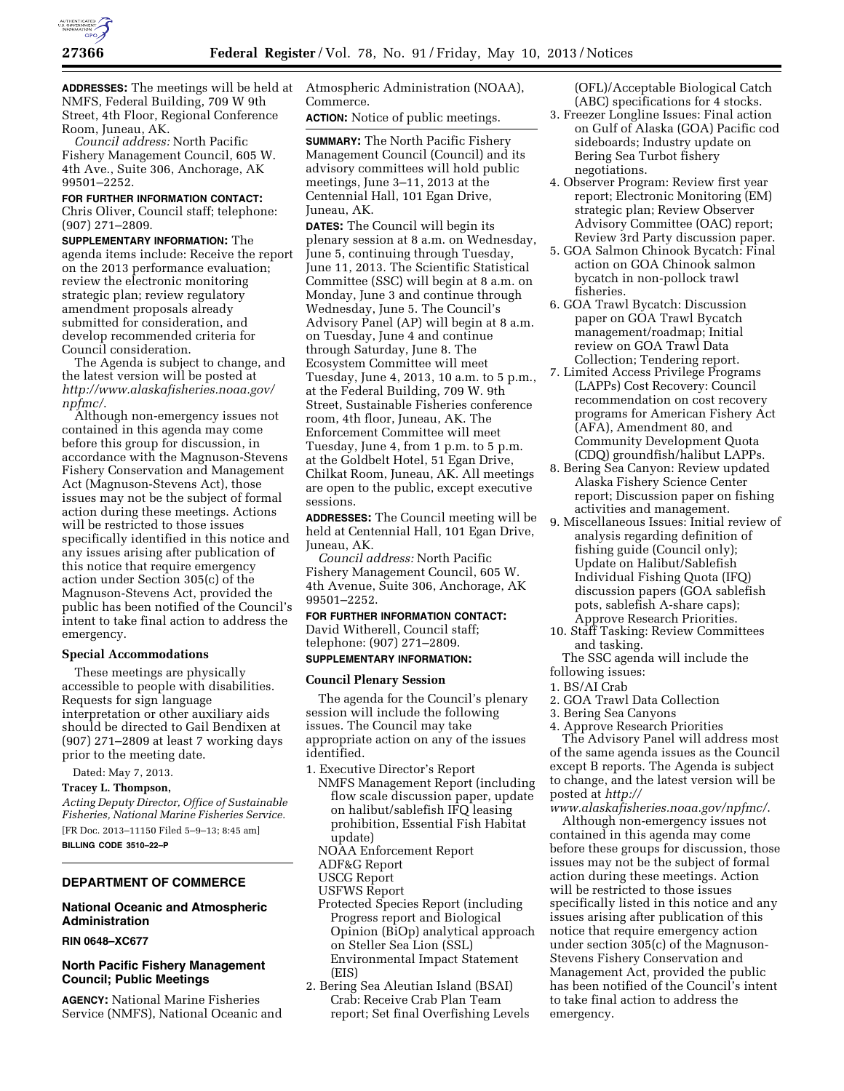

**ADDRESSES:** The meetings will be held at NMFS, Federal Building, 709 W 9th Street, 4th Floor, Regional Conference Room, Juneau, AK.

*Council address:* North Pacific Fishery Management Council, 605 W. 4th Ave., Suite 306, Anchorage, AK 99501–2252.

#### **FOR FURTHER INFORMATION CONTACT:**

Chris Oliver, Council staff; telephone: (907) 271–2809.

**SUPPLEMENTARY INFORMATION:** The agenda items include: Receive the report on the 2013 performance evaluation; review the electronic monitoring strategic plan; review regulatory amendment proposals already submitted for consideration, and develop recommended criteria for Council consideration.

The Agenda is subject to change, and the latest version will be posted at *[http://www.alaskafisheries.noaa.gov/](http://www.alaskafisheries.noaa.gov/npfmc/) [npfmc/](http://www.alaskafisheries.noaa.gov/npfmc/)*.

Although non-emergency issues not contained in this agenda may come before this group for discussion, in accordance with the Magnuson-Stevens Fishery Conservation and Management Act (Magnuson-Stevens Act), those issues may not be the subject of formal action during these meetings. Actions will be restricted to those issues specifically identified in this notice and any issues arising after publication of this notice that require emergency action under Section 305(c) of the Magnuson-Stevens Act, provided the public has been notified of the Council's intent to take final action to address the emergency.

#### **Special Accommodations**

These meetings are physically accessible to people with disabilities. Requests for sign language interpretation or other auxiliary aids should be directed to Gail Bendixen at (907) 271–2809 at least 7 working days prior to the meeting date.

Dated: May 7, 2013.

**Tracey L. Thompson,** 

*Acting Deputy Director, Office of Sustainable Fisheries, National Marine Fisheries Service.*  [FR Doc. 2013–11150 Filed 5–9–13; 8:45 am] **BILLING CODE 3510–22–P** 

#### **DEPARTMENT OF COMMERCE**

# **National Oceanic and Atmospheric Administration**

### **RIN 0648–XC677**

#### **North Pacific Fishery Management Council; Public Meetings**

**AGENCY:** National Marine Fisheries Service (NMFS), National Oceanic and Atmospheric Administration (NOAA), Commerce.

**ACTION:** Notice of public meetings.

**SUMMARY:** The North Pacific Fishery Management Council (Council) and its advisory committees will hold public meetings, June 3–11, 2013 at the Centennial Hall, 101 Egan Drive, Juneau, AK.

**DATES:** The Council will begin its plenary session at 8 a.m. on Wednesday, June 5, continuing through Tuesday, June 11, 2013. The Scientific Statistical Committee (SSC) will begin at 8 a.m. on Monday, June 3 and continue through Wednesday, June 5. The Council's Advisory Panel (AP) will begin at 8 a.m. on Tuesday, June 4 and continue through Saturday, June 8. The Ecosystem Committee will meet Tuesday, June 4, 2013, 10 a.m. to 5 p.m., at the Federal Building, 709 W. 9th Street, Sustainable Fisheries conference room, 4th floor, Juneau, AK. The Enforcement Committee will meet Tuesday, June 4, from 1 p.m. to 5 p.m. at the Goldbelt Hotel, 51 Egan Drive, Chilkat Room, Juneau, AK. All meetings are open to the public, except executive sessions.

**ADDRESSES:** The Council meeting will be held at Centennial Hall, 101 Egan Drive, Juneau, AK.

*Council address:* North Pacific Fishery Management Council, 605 W. 4th Avenue, Suite 306, Anchorage, AK 99501–2252.

# **FOR FURTHER INFORMATION CONTACT:**  David Witherell, Council staff; telephone: (907) 271–2809.

**SUPPLEMENTARY INFORMATION:** 

#### **Council Plenary Session**

The agenda for the Council's plenary session will include the following issues. The Council may take appropriate action on any of the issues identified.

- 1. Executive Director's Report
- NMFS Management Report (including flow scale discussion paper, update on halibut/sablefish IFQ leasing prohibition, Essential Fish Habitat update)
- NOAA Enforcement Report
- ADF&G Report
- USCG Report
- USFWS Report
- Protected Species Report (including Progress report and Biological Opinion (BiOp) analytical approach on Steller Sea Lion (SSL) Environmental Impact Statement (EIS)
- 2. Bering Sea Aleutian Island (BSAI) Crab: Receive Crab Plan Team report; Set final Overfishing Levels

(OFL)/Acceptable Biological Catch (ABC) specifications for 4 stocks.

- 3. Freezer Longline Issues: Final action on Gulf of Alaska (GOA) Pacific cod sideboards; Industry update on Bering Sea Turbot fishery negotiations.
- 4. Observer Program: Review first year report; Electronic Monitoring (EM) strategic plan; Review Observer Advisory Committee (OAC) report; Review 3rd Party discussion paper.
- 5. GOA Salmon Chinook Bycatch: Final action on GOA Chinook salmon bycatch in non-pollock trawl fisheries.
- 6. GOA Trawl Bycatch: Discussion paper on GOA Trawl Bycatch management/roadmap; Initial review on GOA Trawl Data Collection; Tendering report.
- 7. Limited Access Privilege Programs (LAPPs) Cost Recovery: Council recommendation on cost recovery programs for American Fishery Act (AFA), Amendment 80, and Community Development Quota (CDQ) groundfish/halibut LAPPs.
- 8. Bering Sea Canyon: Review updated Alaska Fishery Science Center report; Discussion paper on fishing activities and management.
- 9. Miscellaneous Issues: Initial review of analysis regarding definition of fishing guide (Council only); Update on Halibut/Sablefish Individual Fishing Quota (IFQ) discussion papers (GOA sablefish pots, sablefish A-share caps); Approve Research Priorities.
- 10. Staff Tasking: Review Committees and tasking.

The SSC agenda will include the following issues:

- 1. BS/AI Crab
- 2. GOA Trawl Data Collection
- 3. Bering Sea Canyons
- 4. Approve Research Priorities

The Advisory Panel will address most of the same agenda issues as the Council except B reports. The Agenda is subject to change, and the latest version will be posted at *[http://](http://www.alaskafisheries.noaa.gov/npfmc/)* 

*[www.alaskafisheries.noaa.gov/npfmc/](http://www.alaskafisheries.noaa.gov/npfmc/)*.

Although non-emergency issues not contained in this agenda may come before these groups for discussion, those issues may not be the subject of formal action during these meetings. Action will be restricted to those issues specifically listed in this notice and any issues arising after publication of this notice that require emergency action under section 305(c) of the Magnuson-Stevens Fishery Conservation and Management Act, provided the public has been notified of the Council's intent to take final action to address the emergency.